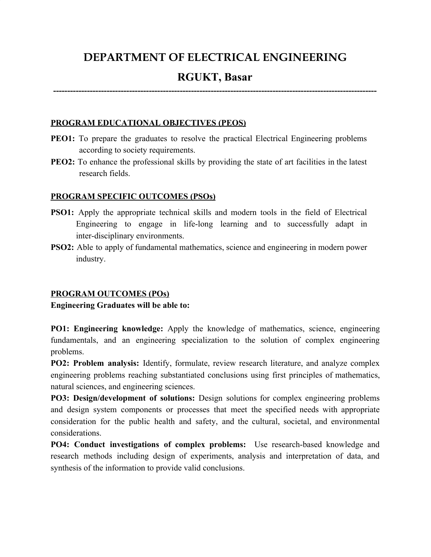# **DEPARTMENT OF ELECTRICAL ENGINEERING**

# **RGUKT, Basar**

**-------------------------------------------------------------------------------------------------------------------**

# **PROGRAM EDUCATIONAL OBJECTIVES (PEOS)**

- **PEO1:** To prepare the graduates to resolve the practical Electrical Engineering problems according to society requirements.
- **PEO2:** To enhance the professional skills by providing the state of art facilities in the latest research fields.

#### **PROGRAM SPECIFIC OUTCOMES (PSOs)**

- **PSO1:** Apply the appropriate technical skills and modern tools in the field of Electrical Engineering to engage in life-long learning and to successfully adapt in inter-disciplinary environments.
- **PSO2:** Able to apply of fundamental mathematics, science and engineering in modern power industry.

# **PROGRAM OUTCOMES (POs)**

# **Engineering Graduates will be able to:**

**PO1: Engineering knowledge:** Apply the knowledge of mathematics, science, engineering fundamentals, and an engineering specialization to the solution of complex engineering problems.

**PO2: Problem analysis:** Identify, formulate, review research literature, and analyze complex engineering problems reaching substantiated conclusions using first principles of mathematics, natural sciences, and engineering sciences.

**PO3: Design/development of solutions:** Design solutions for complex engineering problems and design system components or processes that meet the specified needs with appropriate consideration for the public health and safety, and the cultural, societal, and environmental considerations.

**PO4: Conduct investigations of complex problems:** Use research-based knowledge and research methods including design of experiments, analysis and interpretation of data, and synthesis of the information to provide valid conclusions.